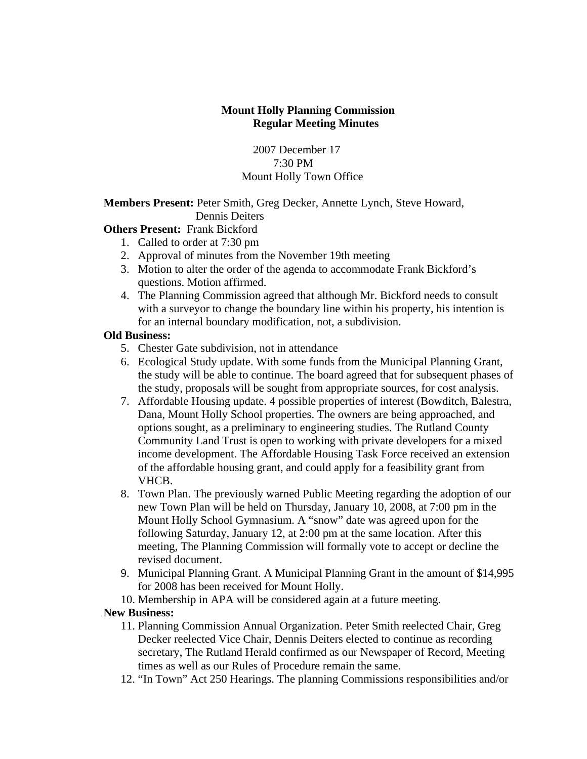### **Mount Holly Planning Commission Regular Meeting Minutes**

 2007 December 17 7:30 PM Mount Holly Town Office

**Members Present:** Peter Smith, Greg Decker, Annette Lynch, Steve Howard, Dennis Deiters

# **Others Present: Frank Bickford**

- 1. Called to order at 7:30 pm
- 2. Approval of minutes from the November 19th meeting
- 3. Motion to alter the order of the agenda to accommodate Frank Bickford's questions. Motion affirmed.
- 4. The Planning Commission agreed that although Mr. Bickford needs to consult with a surveyor to change the boundary line within his property, his intention is for an internal boundary modification, not, a subdivision.

### **Old Business:**

- 5. Chester Gate subdivision, not in attendance
- 6. Ecological Study update. With some funds from the Municipal Planning Grant, the study will be able to continue. The board agreed that for subsequent phases of the study, proposals will be sought from appropriate sources, for cost analysis.
- 7. Affordable Housing update. 4 possible properties of interest (Bowditch, Balestra, Dana, Mount Holly School properties. The owners are being approached, and options sought, as a preliminary to engineering studies. The Rutland County Community Land Trust is open to working with private developers for a mixed income development. The Affordable Housing Task Force received an extension of the affordable housing grant, and could apply for a feasibility grant from VHCB.
- 8. Town Plan. The previously warned Public Meeting regarding the adoption of our new Town Plan will be held on Thursday, January 10, 2008, at 7:00 pm in the Mount Holly School Gymnasium. A "snow" date was agreed upon for the following Saturday, January 12, at 2:00 pm at the same location. After this meeting, The Planning Commission will formally vote to accept or decline the revised document.
- 9. Municipal Planning Grant. A Municipal Planning Grant in the amount of \$14,995 for 2008 has been received for Mount Holly.
- 10. Membership in APA will be considered again at a future meeting.

# **New Business:**

- 11. Planning Commission Annual Organization. Peter Smith reelected Chair, Greg Decker reelected Vice Chair, Dennis Deiters elected to continue as recording secretary, The Rutland Herald confirmed as our Newspaper of Record, Meeting times as well as our Rules of Procedure remain the same.
- 12. "In Town" Act 250 Hearings. The planning Commissions responsibilities and/or